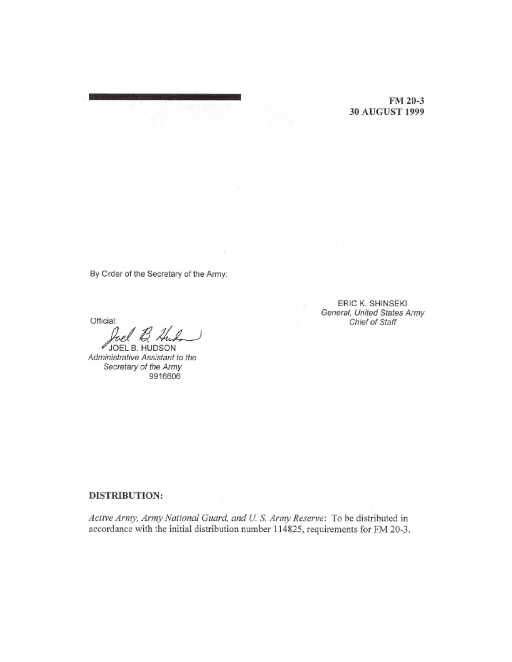**FM** 20-3 30 AUGUST 1999

By Order of the Secretary of the Army:

Official:

 $\mathscr{O}$  JOEL B. HUDSON Administrative Assistant to the Secretary of the Army 9916606

ERIC K. SHINSEKI General, United States Army Chief of Staff

## **DISTRIBUTION:**

*Active Army, Army National Guard, and U.S. Army Reserve:* To be distributed in accordance with the initial distribution number 114825, requirements for FM 20-3.